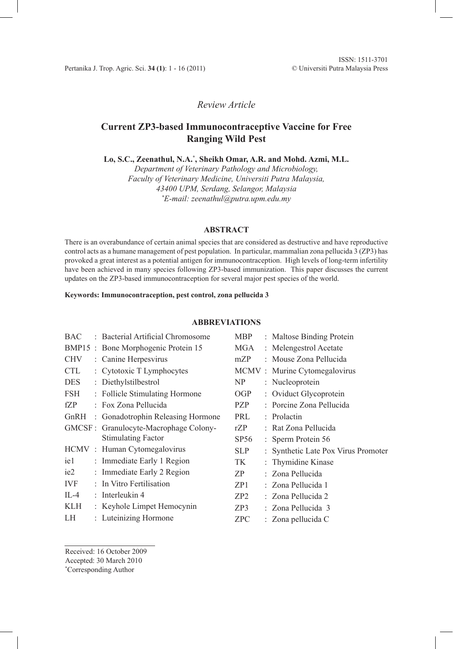## *Review Article*

# **Current ZP3-based Immunocontraceptive Vaccine for Free Ranging Wild Pest**

**Lo, S.C., Zeenathul, N.A.\* , Sheikh Omar, A.R. and Mohd. Azmi, M.L.**

*Department of Veterinary Pathology and Microbiology, Faculty of Veterinary Medicine, Universiti Putra Malaysia, 43400 UPM, Serdang, Selangor, Malaysia \* E-mail: zeenathul@putra.upm.edu.my*

### **ABSTRACT**

There is an overabundance of certain animal species that are considered as destructive and have reproductive control acts as a humane management of pest population. In particular, mammalian zona pellucida 3 (ZP3) has provoked a great interest as a potential antigen for immunocontraception. High levels of long-term infertility have been achieved in many species following ZP3-based immunization. This paper discusses the current updates on the ZP3-based immunocontraception for several major pest species of the world.

**Keywords: Immunocontraception, pest control, zona pellucida 3**

## **ABBREVIATIONS**

| <b>BAC</b> | <b>Bacterial Artificial Chromosome</b> | <b>MBP</b>      | : Maltose Binding Protein           |
|------------|----------------------------------------|-----------------|-------------------------------------|
|            | BMP15 : Bone Morphogenic Protein 15    | MGA             | : Melengestrol Acetate              |
| <b>CHV</b> | : Canine Herpesvirus                   | mZP             | : Mouse Zona Pellucida              |
| <b>CTL</b> | : Cytotoxic T Lymphocytes              |                 | MCMV: Murine Cytomegalovirus        |
| DES.       | : Diethylstilbestrol                   | NP              | : Nucleoprotein                     |
| FSH        | : Follicle Stimulating Hormone         | <b>OGP</b>      | : Oviduct Glycoprotein              |
| fZP        | : Fox Zona Pellucida                   | PZP             | : Porcine Zona Pellucida            |
|            | GnRH : Gonadotrophin Releasing Hormone | PRL             | : Prolactin                         |
|            | GMCSF : Granulocyte-Macrophage Colony- | rZP             | : Rat Zona Pellucida                |
|            | <b>Stimulating Factor</b>              | SP56            | : Sperm Protein 56                  |
|            | HCMV: Human Cytomegalovirus            | <b>SLP</b>      | : Synthetic Late Pox Virus Promoter |
| ie1        | : Immediate Early 1 Region             | TK              | : Thymidine Kinase                  |
| ie2        | : Immediate Early 2 Region             | ZP              | : Zona Pellucida                    |
| IVF        | : In Vitro Fertilisation               | ZP1             | : Zona Pellucida 1                  |
| IL-4       | : Interleukin 4                        | ZP <sub>2</sub> | : Zona Pellucida 2                  |
| KLH        | : Keyhole Limpet Hemocynin             | ZP3             | : Zona Pellucida 3                  |
| LH         | : Luteinizing Hormone                  | <b>ZPC</b>      | $\therefore$ Zona pellucida C       |

Received: 16 October 2009

Accepted: 30 March 2010

\* Corresponding Author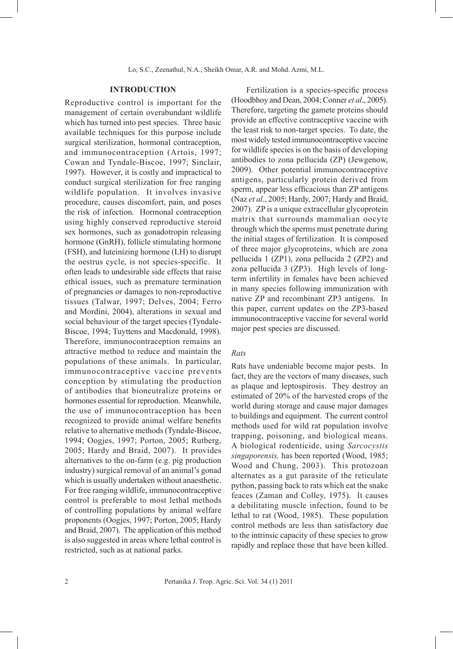#### **INTRODUCTION**

Reproductive control is important for the management of certain overabundant wildlife which has turned into pest species. Three basic available techniques for this purpose include surgical sterilization, hormonal contraception, and immunocontraception (Artois, 1997; Cowan and Tyndale-Biscoe, 1997; Sinclair, 1997). However, it is costly and impractical to conduct surgical sterilization for free ranging wildlife population. It involves invasive procedure, causes discomfort, pain, and poses the risk of infection. Hormonal contraception using highly conserved reproductive steroid sex hormones, such as gonadotropin releasing hormone (GnRH), follicle stimulating hormone (FSH), and luteinizing hormone (LH) to disrupt the oestrus cycle, is not species-specific. It often leads to undesirable side effects that raise ethical issues, such as premature termination of pregnancies or damages to non-reproductive tissues (Talwar, 1997; Delves, 2004; Ferro and Mordini, 2004), alterations in sexual and social behaviour of the target species (Tyndale-Biscoe, 1994; Tuyttens and Macdonald, 1998). Therefore, immunocontraception remains an attractive method to reduce and maintain the populations of these animals. In particular, immunocontraceptive vaccine prevents conception by stimulating the production of antibodies that bioneutralize proteins or hormones essential for reproduction. Meanwhile, the use of immunocontraception has been recognized to provide animal welfare benefits relative to alternative methods (Tyndale-Biscoe, 1994; Oogjes, 1997; Porton, 2005; Rutberg, 2005; Hardy and Braid, 2007). It provides alternatives to the on-farm (e.g. pig production industry) surgical removal of an animal's gonad which is usually undertaken without anaesthetic. For free ranging wildlife, immunocontraceptive control is preferable to most lethal methods of controlling populations by animal welfare proponents (Oogjes, 1997; Porton, 2005; Hardy and Braid, 2007). The application of this method is also suggested in areas where lethal control is restricted, such as at national parks.

Fertilization is a species-specific process (Hoodbhoy and Dean, 2004; Conner *et al*., 2005). Therefore, targeting the gamete proteins should provide an effective contraceptive vaccine with the least risk to non-target species. To date, the most widely tested immunocontraceptive vaccine for wildlife species is on the basis of developing antibodies to zona pellucida (ZP) (Jewgenow, 2009). Other potential immunocontraceptive antigens, particularly protein derived from sperm, appear less efficacious than ZP antigens (Naz *et al*., 2005; Hardy, 2007; Hardy and Braid, 2007). ZP is a unique extracellular glycoprotein matrix that surrounds mammalian oocyte through which the sperms must penetrate during the initial stages of fertilization. It is composed of three major glycoproteins, which are zona pellucida 1 (ZP1), zona pellucida 2 (ZP2) and zona pellucida 3 (ZP3). High levels of longterm infertility in females have been achieved in many species following immunization with native ZP and recombinant ZP3 antigens. In this paper, current updates on the ZP3-based immunocontraceptive vaccine for several world major pest species are discussed.

## *Rats*

Rats have undeniable become major pests. In fact, they are the vectors of many diseases, such as plaque and leptospirosis. They destroy an estimated of 20% of the harvested crops of the world during storage and cause major damages to buildings and equipment. The current control methods used for wild rat population involve trapping, poisoning, and biological means. A biological rodenticide, using *Sarcocystis singaporensis,* has been reported (Wood, 1985; Wood and Chung, 2003). This protozoan alternates as a gut parasite of the reticulate python, passing back to rats which eat the snake feaces (Zaman and Colley, 1975). It causes a debilitating muscle infection, found to be lethal to rat (Wood, 1985). These population control methods are less than satisfactory due to the intrinsic capacity of these species to grow rapidly and replace those that have been killed.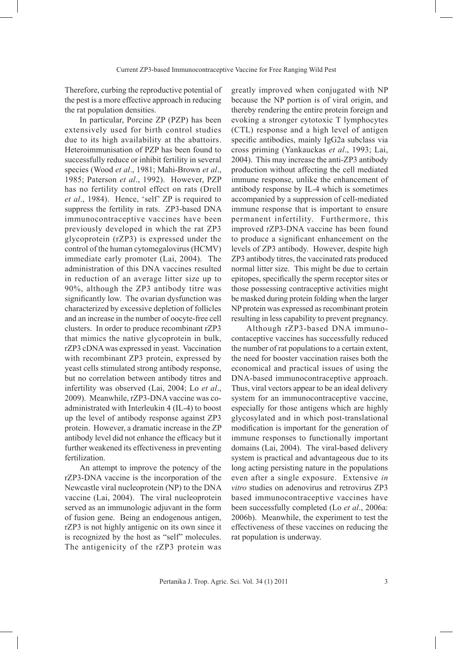Therefore, curbing the reproductive potential of the pest is a more effective approach in reducing the rat population densities.

In particular, Porcine ZP (PZP) has been extensively used for birth control studies due to its high availability at the abattoirs. Heteroimmunisation of PZP has been found to successfully reduce or inhibit fertility in several species (Wood *et al*., 1981; Mahi-Brown *et al*., 1985; Paterson *et al*., 1992). However, PZP has no fertility control effect on rats (Drell *et al*., 1984). Hence, 'self' ZP is required to suppress the fertility in rats. ZP3-based DNA immunocontraceptive vaccines have been previously developed in which the rat ZP3 glycoprotein (rZP3) is expressed under the control of the human cytomegalovirus (HCMV) immediate early promoter (Lai, 2004). The administration of this DNA vaccines resulted in reduction of an average litter size up to 90%, although the ZP3 antibody titre was significantly low. The ovarian dysfunction was characterized by excessive depletion of follicles and an increase in the number of oocyte-free cell clusters. In order to produce recombinant rZP3 that mimics the native glycoprotein in bulk, rZP3 cDNA was expressed in yeast. Vaccination with recombinant ZP3 protein, expressed by yeast cells stimulated strong antibody response, but no correlation between antibody titres and infertility was observed (Lai, 2004; Lo *et al*., 2009). Meanwhile, rZP3-DNA vaccine was coadministrated with Interleukin 4 (IL-4) to boost up the level of antibody response against ZP3 protein. However, a dramatic increase in the ZP antibody level did not enhance the efficacy but it further weakened its effectiveness in preventing fertilization.

An attempt to improve the potency of the rZP3-DNA vaccine is the incorporation of the Newcastle viral nucleoprotein (NP) to the DNA vaccine (Lai, 2004). The viral nucleoprotein served as an immunologic adjuvant in the form of fusion gene. Being an endogenous antigen, rZP3 is not highly antigenic on its own since it is recognized by the host as "self" molecules. The antigenicity of the rZP3 protein was

greatly improved when conjugated with NP because the NP portion is of viral origin, and thereby rendering the entire protein foreign and evoking a stronger cytotoxic T lymphocytes (CTL) response and a high level of antigen specific antibodies, mainly IgG2a subclass via cross priming (Yankauckas *et al*., 1993; Lai, 2004). This may increase the anti-ZP3 antibody production without affecting the cell mediated immune response, unlike the enhancement of antibody response by IL-4 which is sometimes accompanied by a suppression of cell-mediated immune response that is important to ensure permanent infertility. Furthermore, this improved rZP3-DNA vaccine has been found to produce a significant enhancement on the levels of ZP3 antibody. However, despite high ZP3 antibody titres, the vaccinated rats produced normal litter size. This might be due to certain epitopes, specifically the sperm receptor sites or those possessing contraceptive activities might be masked during protein folding when the larger NP protein was expressed as recombinant protein resulting in less capability to prevent pregnancy.

Although rZP3-based DNA immunocontaceptive vaccines has successfully reduced the number of rat populations to a certain extent, the need for booster vaccination raises both the economical and practical issues of using the DNA-based immunocontraceptive approach. Thus, viral vectors appear to be an ideal delivery system for an immunocontraceptive vaccine, especially for those antigens which are highly glycosylated and in which post-translational modification is important for the generation of immune responses to functionally important domains (Lai, 2004). The viral-based delivery system is practical and advantageous due to its long acting persisting nature in the populations even after a single exposure. Extensive *in vitro* studies on adenovirus and retrovirus ZP3 based immunocontraceptive vaccines have been successfully completed (Lo *et al*., 2006a: 2006b). Meanwhile, the experiment to test the effectiveness of these vaccines on reducing the rat population is underway.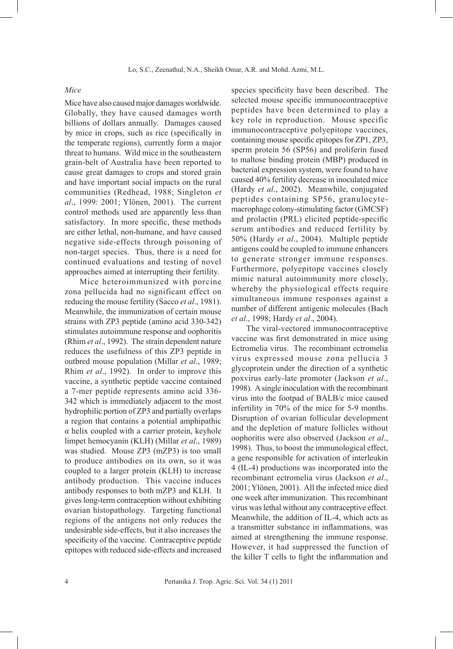#### *Mice*

Mice have also caused major damages worldwide. Globally, they have caused damages worth billions of dollars annually. Damages caused by mice in crops, such as rice (specifically in the temperate regions), currently form a major threat to humans. Wild mice in the southeastern grain-belt of Australia have been reported to cause great damages to crops and stored grain and have important social impacts on the rural communities (Redhead, 1988; Singleton *et al*., 1999: 2001; Ylönen, 2001). The current control methods used are apparently less than satisfactory. In more specific, these methods are either lethal, non-humane, and have caused negative side-effects through poisoning of non-target species. Thus, there is a need for continued evaluations and testing of novel approaches aimed at interrupting their fertility.

Mice heteroimmunized with porcine zona pellucida had no significant effect on reducing the mouse fertility (Sacco *et al*., 1981). Meanwhile, the immunization of certain mouse strains with ZP3 peptide (amino acid 330-342) stimulates autoimmune response and oophoritis (Rhim *et al*., 1992). The strain dependent nature reduces the usefulness of this ZP3 peptide in outbred mouse population (Millar *et al*., 1989; Rhim *et al*., 1992). In order to improve this vaccine, a synthetic peptide vaccine contained a 7-mer peptide represents amino acid 336- 342 which is immediately adjacent to the most hydrophilic portion of ZP3 and partially overlaps a region that contains a potential amphipathic α helix coupled with a carrier protein, keyhole limpet hemocyanin (KLH) (Millar *et al*., 1989) was studied. Mouse ZP3 (mZP3) is too small to produce antibodies on its own, so it was coupled to a larger protein (KLH) to increase antibody production. This vaccine induces antibody responses to both mZP3 and KLH. It gives long-term contraception without exhibiting ovarian histopathology. Targeting functional regions of the antigens not only reduces the undesirable side-effects, but it also increases the specificity of the vaccine. Contraceptive peptide epitopes with reduced side-effects and increased species specificity have been described. The selected mouse specific immunocontraceptive peptides have been determined to play a key role in reproduction. Mouse specific immunocontraceptive polyepitope vaccines, containing mouse specific epitopes for ZP1, ZP3, sperm protein 56 (SP56) and proliferin fused to maltose binding protein (MBP) produced in bacterial expression system, were found to have caused 40% fertility decrease in inoculated mice (Hardy *et al*., 2002). Meanwhile, conjugated peptides containing SP56, granulocytemacrophage colony-stimulating factor (GMCSF) and prolactin (PRL) elicited peptide-specific serum antibodies and reduced fertility by 50% (Hardy *et al*., 2004). Multiple peptide antigens could be coupled to immune enhancers to generate stronger immune responses. Furthermore, polyepitope vaccines closely mimic natural autoimmunity more closely, whereby the physiological effects require simultaneous immune responses against a number of different antigenic molecules (Bach *et al*., 1998; Hardy *et al*., 2004).

The viral-vectored immunocontraceptive vaccine was first demonstrated in mice using Ectromelia virus. The recombinant ectromelia virus expressed mouse zona pellucia 3 glycoprotein under the direction of a synthetic poxvirus early-late promoter (Jackson *et al*., 1998). A single inoculation with the recombinant virus into the footpad of BALB/c mice caused infertility in 70% of the mice for 5-9 months. Disruption of ovarian follicular development and the depletion of mature follicles without oophoritis were also observed (Jackson *et al*., 1998). Thus, to boost the immunological effect, a gene responsible for activation of interleukin 4 (IL-4) productions was incorporated into the recombinant ectromelia virus (Jackson *et al*., 2001; Ylönen, 2001). All the infected mice died one week after immunization. This recombinant virus was lethal without any contraceptive effect. Meanwhile, the addition of IL-4, which acts as a transmitter substance in inflammations, was aimed at strengthening the immune response. However, it had suppressed the function of the killer T cells to fight the inflammation and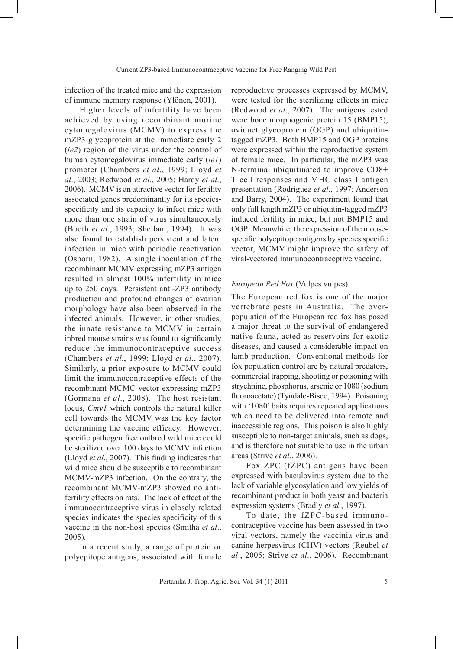infection of the treated mice and the expression of immune memory response (Ylönen, 2001).

Higher levels of infertility have been achieved by using recombinant murine cytomegalovirus (MCMV) to express the mZP3 glycoprotein at the immediate early 2 (*ie2*) region of the virus under the control of human cytomegalovirus immediate early (*ie1*) promoter (Chambers *et al*., 1999; Lloyd *et al*., 2003; Redwood *et al*., 2005; Hardy *et al*., 2006). MCMV is an attractive vector for fertility associated genes predominantly for its speciesspecificity and its capacity to infect mice with more than one strain of virus simultaneously (Booth *et al*., 1993; Shellam, 1994). It was also found to establish persistent and latent infection in mice with periodic reactivation (Osborn, 1982). A single inoculation of the recombinant MCMV expressing mZP3 antigen resulted in almost 100% infertility in mice up to 250 days. Persistent anti-ZP3 antibody production and profound changes of ovarian morphology have also been observed in the infected animals. However, in other studies, the innate resistance to MCMV in certain inbred mouse strains was found to significantly reduce the immunocontraceptive success (Chambers *et al*., 1999; Lloyd *et al*., 2007). Similarly, a prior exposure to MCMV could limit the immunocontraceptive effects of the recombinant MCMC vector expressing mZP3 (Gormana *et al*., 2008). The host resistant locus, *Cmv1* which controls the natural killer cell towards the MCMV was the key factor determining the vaccine efficacy. However, specific pathogen free outbred wild mice could be sterilized over 100 days to MCMV infection (Lloyd *et al*., 2007). This finding indicates that wild mice should be susceptible to recombinant MCMV-mZP3 infection. On the contrary, the recombinant MCMV-mZP3 showed no antifertility effects on rats. The lack of effect of the immunocontraceptive virus in closely related species indicates the species specificity of this vaccine in the non-host species (Smitha *et al*., 2005).

In a recent study, a range of protein or polyepitope antigens, associated with female reproductive processes expressed by MCMV, were tested for the sterilizing effects in mice (Redwood *et al*., 2007). The antigens tested were bone morphogenic protein 15 (BMP15), oviduct glycoprotein (OGP) and ubiquitintagged mZP3. Both BMP15 and OGP proteins were expressed within the reproductive system of female mice. In particular, the mZP3 was N-terminal ubiquitinated to improve CD8+ T cell responses and MHC class I antigen presentation (Rodriguez *et al*., 1997; Anderson and Barry, 2004). The experiment found that only full length mZP3 or ubiquitin-tagged mZP3 induced fertility in mice, but not BMP15 and OGP. Meanwhile, the expression of the mousespecific polyepitope antigens by species specific vector, MCMV might improve the safety of viral-vectored immunocontraceptive vaccine.

#### *European Red Fox* (Vulpes vulpes)

The European red fox is one of the major vertebrate pests in Australia. The overpopulation of the European red fox has posed a major threat to the survival of endangered native fauna, acted as reservoirs for exotic diseases, and caused a considerable impact on lamb production. Conventional methods for fox population control are by natural predators, commercial trapping, shooting or poisoning with strychnine, phosphorus, arsenic or 1080 (sodium fluoroacetate) (Tyndale-Bisco, 1994). Poisoning with '1080' baits requires repeated applications which need to be delivered into remote and inaccessible regions. This poison is also highly susceptible to non-target animals, such as dogs, and is therefore not suitable to use in the urban areas (Strive *et al*., 2006).

Fox ZPC (fZPC) antigens have been expressed with baculovirus system due to the lack of variable glycosylation and low yields of recombinant product in both yeast and bacteria expression systems (Bradly *et al*., 1997).

To date, the fZPC-based immunocontraceptive vaccine has been assessed in two viral vectors, namely the vaccinia virus and canine herpesvirus (CHV) vectors (Reubel *et al*., 2005; Strive *et al*., 2006). Recombinant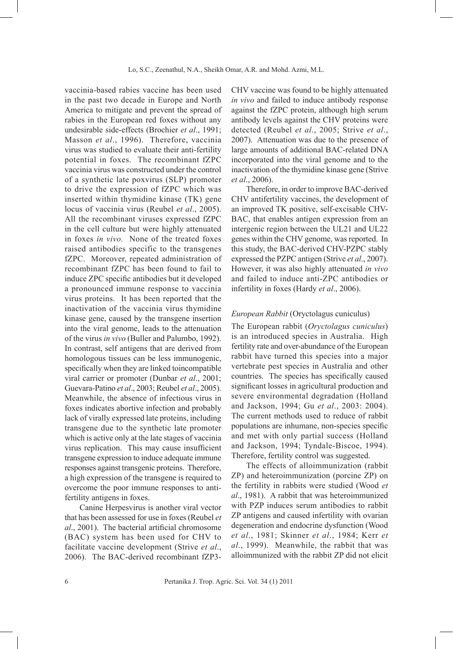vaccinia-based rabies vaccine has been used in the past two decade in Europe and North America to mitigate and prevent the spread of rabies in the European red foxes without any undesirable side-effects (Brochier *et al*., 1991; Masson *et al*., 1996). Therefore, vaccinia virus was studied to evaluate their anti-fertility potential in foxes. The recombinant fZPC vaccinia virus was constructed under the control of a synthetic late poxvirus (SLP) promoter to drive the expression of fZPC which was inserted within thymidine kinase (TK) gene locus of vaccinia virus (Reubel *et al*., 2005). All the recombinant viruses expressed fZPC in the cell culture but were highly attenuated in foxes *in vivo.* None of the treated foxes raised antibodies specific to the transgenes fZPC. Moreover, repeated administration of recombinant fZPC has been found to fail to induce ZPC specific antibodies but it developed a pronounced immune response to vaccinia virus proteins. It has been reported that the inactivation of the vaccinia virus thymidine kinase gene, caused by the transgene insertion into the viral genome, leads to the attenuation of the virus *in vivo* (Buller and Palumbo, 1992). In contrast, self antigens that are derived from homologous tissues can be less immunogenic, specifically when they are linked toincompatible viral carrier or promoter (Dunbar *et al*., 2001; Guevara-Patino *et al*., 2003; Reubel *et al*., 2005). Meanwhile, the absence of infectious virus in foxes indicates abortive infection and probably lack of virally expressed late proteins, including transgene due to the synthetic late promoter which is active only at the late stages of vaccinia virus replication. This may cause insufficient transgene expression to induce adequate immune responses against transgenic proteins. Therefore, a high expression of the transgene is required to overcome the poor immune responses to antifertility antigens in foxes.

Canine Herpesvirus is another viral vector that has been assessed for use in foxes (Reubel *et al*., 2001). The bacterial artificial chromosome (BAC) system has been used for CHV to facilitate vaccine development (Strive *et al*., 2006). The BAC-derived recombinant fZP3CHV vaccine was found to be highly attenuated *in vivo* and failed to induce antibody response against the fZPC protein, although high serum antibody levels against the CHV proteins were detected (Reubel *et al*., 2005; Strive *et al*., 2007). Attenuation was due to the presence of large amounts of additional BAC-related DNA incorporated into the viral genome and to the inactivation of the thymidine kinase gene (Strive *et al*., 2006).

Therefore, in order to improve BAC-derived CHV antifertility vaccines, the development of an improved TK positive, self-excisable CHV-BAC, that enables antigen expression from an intergenic region between the UL21 and UL22 genes within the CHV genome, was reported. In this study, the BAC-derived CHV-PZPC stably expressed the PZPC antigen (Strive *et al*., 2007). However, it was also highly attenuated *in vivo* and failed to induce anti-ZPC antibodies or infertility in foxes (Hardy *et al*., 2006).

## *European Rabbit* (Oryctolagus cuniculus)

The European rabbit (*Oryctolagus cuniculus*) is an introduced species in Australia. High fertility rate and over-abundance of the European rabbit have turned this species into a major vertebrate pest species in Australia and other countries. The species has specifically caused significant losses in agricultural production and severe environmental degradation (Holland and Jackson, 1994; Gu *et al*., 2003: 2004). The current methods used to reduce of rabbit populations are inhumane, non-species specific and met with only partial success (Holland and Jackson, 1994; Tyndale-Biscoe, 1994). Therefore, fertility control was suggested.

The effects of alloimmunization (rabbit ZP) and heteroimmunization (porcine ZP) on the fertility in rabbits were studied (Wood *et al*., 1981). A rabbit that was heteroimmunized with PZP induces serum antibodies to rabbit ZP antigens and caused infertility with ovarian degeneration and endocrine dysfunction (Wood *et al*., 1981; Skinner *et al*., 1984; Kerr *et al*., 1999). Meanwhile, the rabbit that was alloimmunized with the rabbit ZP did not elicit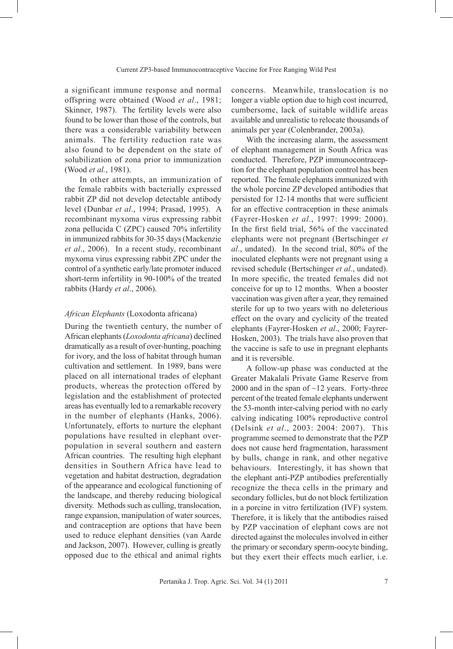a significant immune response and normal offspring were obtained (Wood *et al*., 1981; Skinner, 1987). The fertility levels were also found to be lower than those of the controls, but there was a considerable variability between animals. The fertility reduction rate was also found to be dependent on the state of solubilization of zona prior to immunization (Wood *et al.*, 1981).

In other attempts, an immunization of the female rabbits with bacterially expressed rabbit ZP did not develop detectable antibody level (Dunbar *et al*., 1994; Prasad, 1995). A recombinant myxoma virus expressing rabbit zona pellucida C (ZPC) caused 70% infertility in immunized rabbits for 30-35 days (Mackenzie *et al*., 2006). In a recent study, recombinant myxoma virus expressing rabbit ZPC under the control of a synthetic early/late promoter induced short-term infertility in 90-100% of the treated rabbits (Hardy *et al*., 2006).

#### *African Elephants* (Loxodonta africana)

During the twentieth century, the number of African elephants (*Loxodonta africana*) declined dramatically as a result of over-hunting, poaching for ivory, and the loss of habitat through human cultivation and settlement. In 1989, bans were placed on all international trades of elephant products, whereas the protection offered by legislation and the establishment of protected areas has eventually led to a remarkable recovery in the number of elephants (Hanks, 2006). Unfortunately, efforts to nurture the elephant populations have resulted in elephant overpopulation in several southern and eastern African countries. The resulting high elephant densities in Southern Africa have lead to vegetation and habitat destruction, degradation of the appearance and ecological functioning of the landscape, and thereby reducing biological diversity. Methods such as culling, translocation, range expansion, manipulation of water sources, and contraception are options that have been used to reduce elephant densities (van Aarde and Jackson, 2007). However, culling is greatly opposed due to the ethical and animal rights

concerns. Meanwhile, translocation is no longer a viable option due to high cost incurred, cumbersome, lack of suitable wildlife areas available and unrealistic to relocate thousands of animals per year (Colenbrander, 2003a).

With the increasing alarm, the assessment of elephant management in South Africa was conducted. Therefore, PZP immunocontraception for the elephant population control has been reported. The female elephants immunized with the whole porcine ZP developed antibodies that persisted for 12-14 months that were sufficient for an effective contraception in these animals (Fayrer-Hosken *et al*., 1997: 1999: 2000). In the first field trial, 56% of the vaccinated elephants were not pregnant (Bertschinger *et al*., undated). In the second trial, 80% of the inoculated elephants were not pregnant using a revised schedule (Bertschinger *et al*., undated). In more specific, the treated females did not conceive for up to 12 months. When a booster vaccination was given after a year, they remained sterile for up to two years with no deleterious effect on the ovary and cyclicity of the treated elephants (Fayrer-Hosken *et al*., 2000; Fayrer-Hosken, 2003). The trials have also proven that the vaccine is safe to use in pregnant elephants and it is reversible.

A follow-up phase was conducted at the Greater Makalali Private Game Reserve from 2000 and in the span of  $\sim$ 12 years. Forty-three percent of the treated female elephants underwent the 53-month inter-calving period with no early calving indicating 100% reproductive control (Delsink *et al*., 2003: 2004: 2007). This programme seemed to demonstrate that the PZP does not cause herd fragmentation, harassment by bulls, change in rank, and other negative behaviours. Interestingly, it has shown that the elephant anti-PZP antibodies preferentially recognize the theca cells in the primary and secondary follicles, but do not block fertilization in a porcine in vitro fertilization (IVF) system. Therefore, it is likely that the antibodies raised by PZP vaccination of elephant cows are not directed against the molecules involved in either the primary or secondary sperm-oocyte binding, but they exert their effects much earlier, i.e.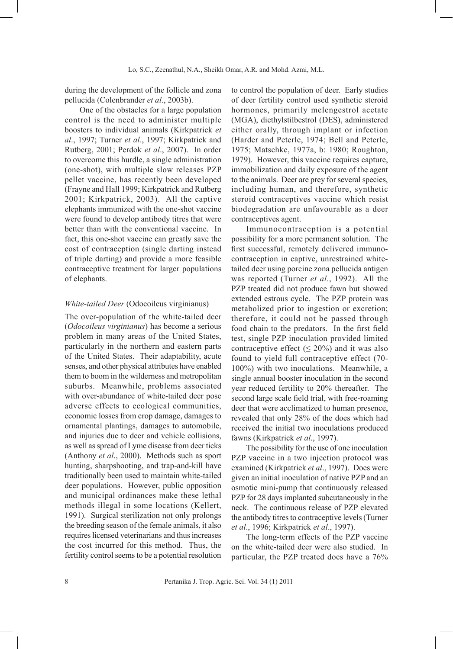during the development of the follicle and zona pellucida (Colenbrander *et al*., 2003b).

One of the obstacles for a large population control is the need to administer multiple boosters to individual animals (Kirkpatrick *et al*., 1997; Turner *et al*., 1997; Kirkpatrick and Rutberg, 2001; Perdok *et al*., 2007). In order to overcome this hurdle, a single administration (one-shot), with multiple slow releases PZP pellet vaccine, has recently been developed (Frayne and Hall 1999; Kirkpatrick and Rutberg 2001; Kirkpatrick, 2003). All the captive elephants immunized with the one-shot vaccine were found to develop antibody titres that were better than with the conventional vaccine. In fact, this one-shot vaccine can greatly save the cost of contraception (single darting instead of triple darting) and provide a more feasible contraceptive treatment for larger populations of elephants.

#### *White-tailed Deer* (Odocoileus virginianus)

The over-population of the white-tailed deer (*Odocoileus virginianus*) has become a serious problem in many areas of the United States, particularly in the northern and eastern parts of the United States. Their adaptability, acute senses, and other physical attributes have enabled them to boom in the wilderness and metropolitan suburbs. Meanwhile, problems associated with over-abundance of white-tailed deer pose adverse effects to ecological communities, economic losses from crop damage, damages to ornamental plantings, damages to automobile, and injuries due to deer and vehicle collisions, as well as spread of Lyme disease from deer ticks (Anthony *et al*., 2000). Methods such as sport hunting, sharpshooting, and trap-and-kill have traditionally been used to maintain white-tailed deer populations. However, public opposition and municipal ordinances make these lethal methods illegal in some locations (Kellert, 1991). Surgical sterilization not only prolongs the breeding season of the female animals, it also requires licensed veterinarians and thus increases the cost incurred for this method. Thus, the fertility control seems to be a potential resolution to control the population of deer. Early studies of deer fertility control used synthetic steroid hormones, primarily melengestrol acetate (MGA), diethylstilbestrol (DES), administered either orally, through implant or infection (Harder and Peterle, 1974; Bell and Peterle, 1975; Matschke, 1977a, b: 1980; Roughton, 1979). However, this vaccine requires capture, immobilization and daily exposure of the agent to the animals. Deer are prey for several species, including human, and therefore, synthetic steroid contraceptives vaccine which resist biodegradation are unfavourable as a deer contraceptives agent.

Immunocontraception is a potential possibility for a more permanent solution. The first successful, remotely delivered immunocontraception in captive, unrestrained whitetailed deer using porcine zona pellucida antigen was reported (Turner *et al*., 1992). All the PZP treated did not produce fawn but showed extended estrous cycle. The PZP protein was metabolized prior to ingestion or excretion; therefore, it could not be passed through food chain to the predators. In the first field test, single PZP inoculation provided limited contraceptive effect ( $\leq 20\%$ ) and it was also found to yield full contraceptive effect (70- 100%) with two inoculations. Meanwhile, a single annual booster inoculation in the second year reduced fertility to 20% thereafter. The second large scale field trial, with free-roaming deer that were acclimatized to human presence, revealed that only 28% of the does which had received the initial two inoculations produced fawns (Kirkpatrick *et al*., 1997).

The possibility for the use of one inoculation PZP vaccine in a two injection protocol was examined (Kirkpatrick *et al*., 1997). Does were given an initial inoculation of native PZP and an osmotic mini-pump that continuously released PZP for 28 days implanted subcutaneously in the neck. The continuous release of PZP elevated the antibody titres to contraceptive levels (Turner *et al*., 1996; Kirkpatrick *et al*., 1997).

The long-term effects of the PZP vaccine on the white-tailed deer were also studied. In particular, the PZP treated does have a 76%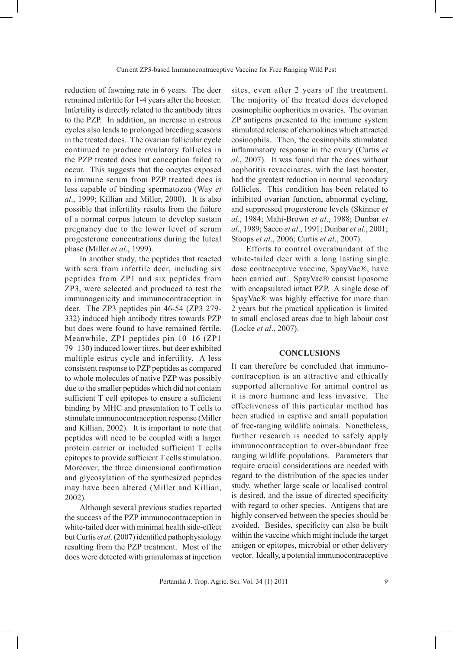reduction of fawning rate in 6 years. The deer remained infertile for 1-4 years after the booster. Infertility is directly related to the antibody titres to the PZP. In addition, an increase in estrous cycles also leads to prolonged breeding seasons in the treated does. The ovarian follicular cycle continued to produce ovulatory follicles in the PZP treated does but conception failed to occur. This suggests that the oocytes exposed to immune serum from PZP treated does is less capable of binding spermatozoa (Way *et al*., 1999; Killian and Miller, 2000). It is also possible that infertility results from the failure of a normal corpus luteum to develop sustain pregnancy due to the lower level of serum progesterone concentrations during the luteal phase (Miller *et al*., 1999).

In another study, the peptides that reacted with sera from infertile deer, including six peptides from ZP1 and six peptides from ZP3, were selected and produced to test the immunogenicity and immunocontraception in deer. The ZP3 peptides pin 46-54 (ZP3 279- 332) induced high antibody titres towards PZP but does were found to have remained fertile. Meanwhile, ZP1 peptides pin 10–16 (ZP1 79–130) induced lower titres, but deer exhibited multiple estrus cycle and infertility. A less consistent response to PZP peptides as compared to whole molecules of native PZP was possibly due to the smaller peptides which did not contain sufficient T cell epitopes to ensure a sufficient binding by MHC and presentation to T cells to stimulate immunocontraception response (Miller and Killian, 2002). It is important to note that peptides will need to be coupled with a larger protein carrier or included sufficient T cells epitopes to provide sufficient T cells stimulation. Moreover, the three dimensional confirmation and glycosylation of the synthesized peptides may have been altered (Miller and Killian, 2002).

Although several previous studies reported the success of the PZP immunocontraception in white-tailed deer with minimal health side-effect but Curtis *et al.* (2007) identified pathophysiology resulting from the PZP treatment. Most of the does were detected with granulomas at injection sites, even after 2 years of the treatment. The majority of the treated does developed eosinophilic oophorities in ovaries. The ovarian ZP antigens presented to the immune system stimulated release of chemokines which attracted eosinophils. Then, the eosinophils stimulated inflammatory response in the ovary (Curtis *et al*., 2007). It was found that the does without oophoritis revaccinates, with the last booster, had the greatest reduction in normal secondary follicles. This condition has been related to inhibited ovarian function, abnormal cycling, and suppressed progesterone levels (Skinner *et al*., 1984; Mahi-Brown *et al*., 1988; Dunbar *et al*., 1989; Sacco *et al*., 1991; Dunbar *et al*., 2001; Stoops *et al*., 2006; Curtis *et al*., 2007).

Efforts to control overabundant of the white-tailed deer with a long lasting single dose contraceptive vaccine, SpayVac®, have been carried out. SpayVac® consist liposome with encapsulated intact PZP. A single dose of SpayVac® was highly effective for more than 2 years but the practical application is limited to small enclosed areas due to high labour cost (Locke *et al*., 2007).

#### **CONCLUSIONS**

It can therefore be concluded that immunocontraception is an attractive and ethically supported alternative for animal control as it is more humane and less invasive. The effectiveness of this particular method has been studied in captive and small population of free-ranging wildlife animals. Nonetheless, further research is needed to safely apply immunocontraception to over-abundant free ranging wildlife populations. Parameters that require crucial considerations are needed with regard to the distribution of the species under study, whether large scale or localised control is desired, and the issue of directed specificity with regard to other species. Antigens that are highly conserved between the species should be avoided. Besides, specificity can also be built within the vaccine which might include the target antigen or epitopes, microbial or other delivery vector. Ideally, a potential immunocontraceptive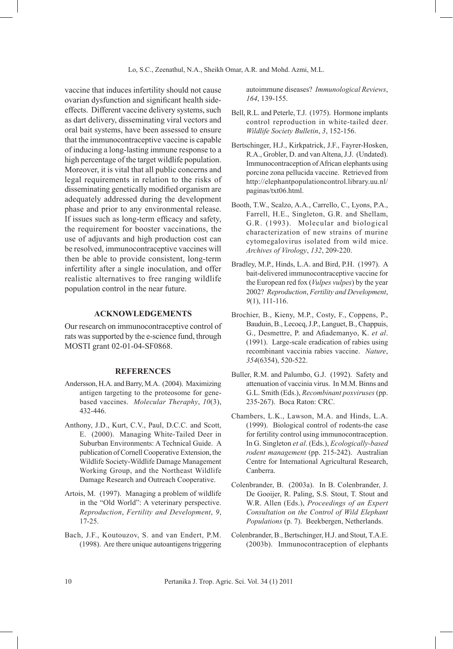vaccine that induces infertility should not cause ovarian dysfunction and significant health sideeffects. Different vaccine delivery systems, such as dart delivery, disseminating viral vectors and oral bait systems, have been assessed to ensure that the immunocontraceptive vaccine is capable of inducing a long-lasting immune response to a high percentage of the target wildlife population. Moreover, it is vital that all public concerns and legal requirements in relation to the risks of disseminating genetically modified organism are adequately addressed during the development phase and prior to any environmental release. If issues such as long-term efficacy and safety, the requirement for booster vaccinations, the use of adjuvants and high production cost can be resolved, immunocontraceptive vaccines will then be able to provide consistent, long-term infertility after a single inoculation, and offer realistic alternatives to free ranging wildlife population control in the near future.

#### **ACKNOWLEDGEMENTS**

Our research on immunocontraceptive control of rats was supported by the e-science fund, through MOSTI grant 02-01-04-SF0868.

#### **REFERENCES**

- Andersson, H.A. and Barry, M.A. (2004). Maximizing antigen targeting to the proteosome for genebased vaccines. *Molecular Theraphy*, *10*(3), 432-446.
- Anthony, J.D., Kurt, C.V., Paul, D.C.C. and Scott, E. (2000). Managing White-Tailed Deer in Suburban Environments: A Technical Guide. A publication of Cornell Cooperative Extension, the Wildlife Society-Wildlife Damage Management Working Group, and the Northeast Wildlife Damage Research and Outreach Cooperative.
- Artois, M. (1997). Managing a problem of wildlife in the "Old World": A veterinary perspective. *Reproduction*, *Fertility and Development*, *9*, 17-25.
- Bach, J.F., Koutouzov, S. and van Endert, P.M. (1998). Are there unique autoantigens triggering

autoimmune diseases? *Immunological Reviews*, *164*, 139-155.

- Bell, R.L. and Peterle, T.J. (1975). Hormone implants control reproduction in white-tailed deer. *Wildlife Society Bulletin*, *3*, 152-156.
- Bertschinger, H.J., Kirkpatrick, J.F., Fayrer-Hosken, R.A., Grobler, D. and van Altena, J.J. (Undated). Immunocontraception of African elephants using porcine zona pellucida vaccine. Retrieved from http://elephantpopulationcontrol.library.uu.nl/ paginas/txt06.html.
- Booth, T.W., Scalzo, A.A., Carrello, C., Lyons, P.A., Farrell, H.E., Singleton, G.R. and Shellam, G.R. (1993). Molecular and biological characterization of new strains of murine cytomegalovirus isolated from wild mice. *Archives of Virology*, *132*, 209-220.
- Bradley, M.P., Hinds, L.A. and Bird, P.H. (1997). A bait-delivered immunocontraceptive vaccine for the European red fox (*Vulpes vulpes*) by the year 2002? *Reproduction*, *Fertility and Development*, *9*(1), 111-116.
- Brochier, B., Kieny, M.P., Costy, F., Coppens, P., Bauduin, B., Lecocq, J.P., Languet, B., Chappuis, G., Desmettre, P. and Afiademanyo, K. *et al*. (1991). Large-scale eradication of rabies using recombinant vaccinia rabies vaccine. *Nature*, *354*(6354), 520-522.
- Buller, R.M. and Palumbo, G.J. (1992). Safety and attenuation of vaccinia virus. In M.M. Binns and G.L. Smith (Eds.), *Recombinant poxviruses* (pp. 235-267). Boca Raton: CRC.
- Chambers, L.K., Lawson, M.A. and Hinds, L.A. (1999). Biological control of rodents-the case for fertility control using immunocontraception. In G. Singleton *et al*. (Eds.), *Ecologically-based rodent management* (pp. 215-242). Australian Centre for International Agricultural Research, Canberra.
- Colenbrander, B. (2003a). In B. Colenbrander, J. De Gooijer, R. Paling, S.S. Stout, T. Stout and W.R. Allen (Eds.), *Proceedings of an Expert Consultation on the Control of Wild Elephant Populations* (p. 7). Beekbergen, Netherlands.
- Colenbrander, B., Bertschinger, H.J. and Stout, T.A.E. (2003b). Immunocontraception of elephants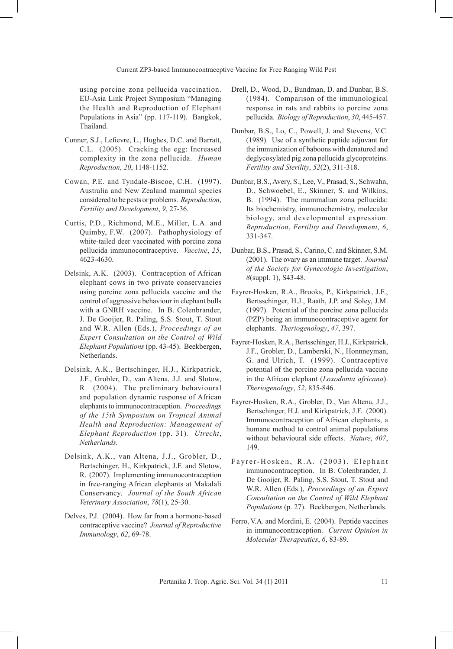using porcine zona pellucida vaccination. EU-Asia Link Project Symposium "Managing the Health and Reproduction of Elephant Populations in Asia" (pp. 117-119). Bangkok, Thailand.

- Conner, S.J., Lefievre, L., Hughes, D.C. and Barratt, C.L. (2005). Cracking the egg: Increased complexity in the zona pellucida. *Human Reproduction*, *20*, 1148-1152.
- Cowan, P.E. and Tyndale-Biscoe, C.H. (1997). Australia and New Zealand mammal species considered to be pests or problems. *Reproduction*, *Fertility and Development*, *9*, 27-36.
- Curtis, P.D., Richmond, M.E., Miller, L.A. and Quimby, F.W. (2007). Pathophysiology of white-tailed deer vaccinated with porcine zona pellucida immunocontraceptive. *Vaccine*, *25*, 4623-4630.
- Delsink, A.K. (2003). Contraception of African elephant cows in two private conservancies using porcine zona pellucida vaccine and the control of aggressive behaviour in elephant bulls with a GNRH vaccine. In B. Colenbrander, J. De Gooijer, R. Paling, S.S. Stout, T. Stout and W.R. Allen (Eds.), *Proceedings of an Expert Consultation on the Control of Wild Elephant Populations* (pp. 43-45). Beekbergen, Netherlands.
- Delsink, A.K., Bertschinger, H.J., Kirkpatrick, J.F., Grobler, D., van Altena, J.J. and Slotow, R. (2004). The preliminary behavioural and population dynamic response of African elephants to immunocontraception. *Proceedings of the 15th Symposium on Tropical Animal Health and Reproduction: Management of Elephant Reproduction* (pp. 31)*. Utrecht*, *Netherlands.*
- Delsink, A.K., van Altena, J.J., Grobler, D., Bertschinger, H., Kirkpatrick, J.F. and Slotow, R. (2007). Implementing immunocontraception in free-ranging African elephants at Makalali Conservancy. *Journal of the South African Veterinary Association*, *78*(1), 25-30.
- Delves, P.J. (2004). How far from a hormone-based contraceptive vaccine? *Journal of Reproductive Immunology*, *62*, 69-78.
- Drell, D., Wood, D., Bundman, D. and Dunbar, B.S. (1984). Comparison of the immunological response in rats and rabbits to porcine zona pellucida. *Biology of Reproduction*, *30*, 445-457.
- Dunbar, B.S., Lo, C., Powell, J. and Stevens, V.C. (1989). Use of a synthetic peptide adjuvant for the immunization of baboons with denatured and deglycosylated pig zona pellucida glycoproteins. *Fertility and Sterility*, *52*(2), 311-318.
- Dunbar, B.S., Avery, S., Lee, V., Prasad, S., Schwahn, D., Schwoebel, E., Skinner, S. and Wilkins, B. (1994). The mammalian zona pellucida: Its biochemistry, immunochemistry, molecular biology, and developmental expression. *Reproduction*, *Fertility and Development*, *6*, 331-347.
- Dunbar, B.S., Prasad, S., Carino, C. and Skinner, S.M. (2001). The ovary as an immune target. *Journal of the Society for Gynecologic Investigation*, *8*(suppl. 1), S43-48.
- Fayrer-Hosken, R.A., Brooks, P., Kirkpatrick, J.F., Bertsschinger, H.J., Raath, J.P. and Soley, J.M. (1997). Potential of the porcine zona pellucida (PZP) being an immunocontraceptive agent for elephants. *Theriogenology*, *47*, 397.
- Fayrer-Hosken, R.A., Bertsschinger, H.J., Kirkpatrick, J.F., Grobler, D., Lamberski, N., Honnneyman, G. and Ulrich, T. (1999). Contraceptive potential of the porcine zona pellucida vaccine in the African elephant (*Loxodonta africana*). *Theriogenology*, *52*, 835-846.
- Fayrer-Hosken, R.A., Grobler, D., Van Altena, J.J., Bertschinger, H.J. and Kirkpatrick, J.F. (2000). Immunocontraception of African elephants, a humane method to control animal populations without behavioural side effects. *Nature*, *407*, 149.
- Fayrer-Hosken, R.A. (2003). Elephant immunocontraception. In B. Colenbrander, J. De Gooijer, R. Paling, S.S. Stout, T. Stout and W.R. Allen (Eds.), *Proceedings of an Expert Consultation on the Control of Wild Elephant Populations* (p. 27). Beekbergen, Netherlands.
- Ferro, V.A. and Mordini, E. (2004). Peptide vaccines in immunocontraception. *Current Opinion in Molecular Therapeutics*, *6*, 83-89.

Pertanika J. Trop. Agric. Sci. Vol. 34 (1) 2011 11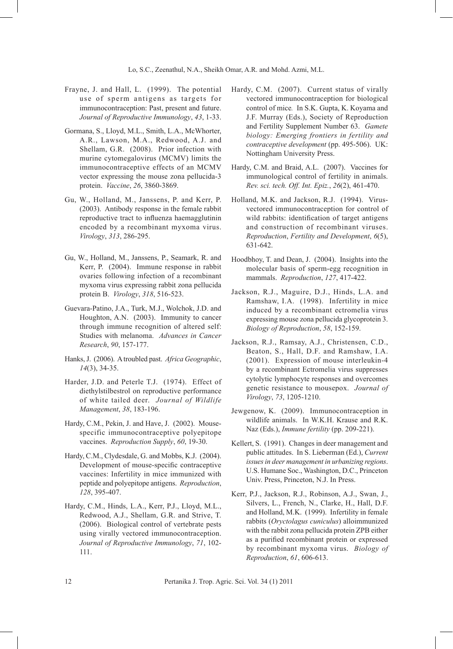- Frayne, J. and Hall, L. (1999). The potential use of sperm antigens as targets for immunocontraception: Past, present and future. *Journal of Reproductive Immunology*, *43*, 1-33.
- Gormana, S., Lloyd, M.L., Smith, L.A., McWhorter, A.R., Lawson, M.A., Redwood, A.J. and Shellam, G.R. (2008). Prior infection with murine cytomegalovirus (MCMV) limits the immunocontraceptive effects of an MCMV vector expressing the mouse zona pellucida-3 protein. *Vaccine*, *26*, 3860-3869.
- Gu, W., Holland, M., Janssens, P. and Kerr, P. (2003). Antibody response in the female rabbit reproductive tract to influenza haemagglutinin encoded by a recombinant myxoma virus. *Virology*, *313*, 286-295.
- Gu, W., Holland, M., Janssens, P., Seamark, R. and Kerr, P. (2004). Immune response in rabbit ovaries following infection of a recombinant myxoma virus expressing rabbit zona pellucida protein B. *Virology*, *318*, 516-523.
- Guevara-Patino, J.A., Turk, M.J., Wolchok, J.D. and Houghton, A.N. (2003). Immunity to cancer through immune recognition of altered self: Studies with melanoma. *Advances in Cancer Research*, *90*, 157-177.
- Hanks, J. (2006). A troubled past. *Africa Geographic*, *14*(3), 34-35.
- Harder, J.D. and Peterle T.J. (1974). Effect of diethylstilbestrol on reproductive performance of white tailed deer. *Journal of Wildlife Management*, *38*, 183-196.
- Hardy, C.M., Pekin, J. and Have, J. (2002). Mousespecific immunocontraceptive polyepitope vaccines. *Reproduction Supply*, *60*, 19-30.
- Hardy, C.M., Clydesdale, G. and Mobbs, K.J. (2004). Development of mouse-specific contraceptive vaccines: Infertility in mice immunized with peptide and polyepitope antigens. *Reproduction*, *128*, 395-407.
- Hardy, C.M., Hinds, L.A., Kerr, P.J., Lloyd, M.L., Redwood, A.J., Shellam, G.R. and Strive, T. (2006). Biological control of vertebrate pests using virally vectored immunocontraception. *Journal of Reproductive Immunology*, *71*, 102- 111.
- Hardy, C.M. (2007). Current status of virally vectored immunocontraception for biological control of mice*.* In S.K. Gupta, K. Koyama and J.F. Murray (Eds.), Society of Reproduction and Fertility Supplement Number 63. *Gamete biology: Emerging frontiers in fertility and contraceptive development* (pp. 495-506). UK: Nottingham University Press.
- Hardy, C.M. and Braid, A.L. (2007). Vaccines for immunological control of fertility in animals. *Rev. sci. tech. Off. Int. Epiz.*, *26*(2), 461-470.
- Holland, M.K. and Jackson, R.J. (1994). Virusvectored immunocontraception for control of wild rabbits: identification of target antigens and construction of recombinant viruses. *Reproduction*, *Fertility and Development*, *6*(5), 631-642.
- Hoodbhoy, T. and Dean, J. (2004). Insights into the molecular basis of sperm-egg recognition in mammals. *Reproduction*, *127*, 417-422.
- Jackson, R.J., Maguire, D.J., Hinds, L.A. and Ramshaw, I.A. (1998). Infertility in mice induced by a recombinant ectromelia virus expressing mouse zona pellucida glycoprotein 3. *Biology of Reproduction*, *58*, 152-159.
- Jackson, R.J., Ramsay, A.J., Christensen, C.D., Beaton, S., Hall, D.F. and Ramshaw, I.A. (2001). Expression of mouse interleukin-4 by a recombinant Ectromelia virus suppresses cytolytic lymphocyte responses and overcomes genetic resistance to mousepox. *Journal of Virology*, *73*, 1205-1210.
- Jewgenow, K. (2009). Immunocontraception in wildlife animals. In W.K.H. Krause and R.K. Naz (Eds.), *Immune fertility* (pp. 209-221).
- Kellert, S. (1991). Changes in deer management and public attitudes. In S. Lieberman (Ed.), *Current issues in deer management in urbanizing regions*. U.S. Humane Soc., Washington, D.C., Princeton Univ. Press, Princeton, N.J. In Press.
- Kerr, P.J., Jackson, R.J., Robinson, A.J., Swan, J., Silvers, L., French, N., Clarke, H., Hall, D.F. and Holland, M.K. (1999). Infertility in female rabbits (*Oryctolagus cuniculus*) alloimmunized with the rabbit zona pellucida protein ZPB either as a purified recombinant protein or expressed by recombinant myxoma virus. *Biology of Reproduction*, *61*, 606-613.

12 Pertanika J. Trop. Agric. Sci. Vol. 34 (1) 2011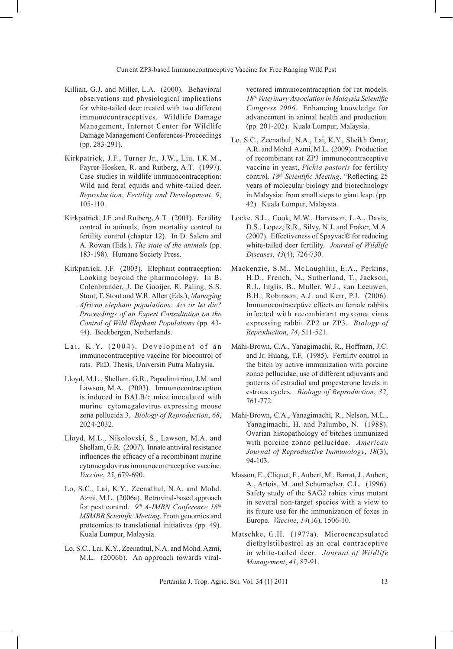- Killian, G.J. and Miller, L.A. (2000). Behavioral observations and physiological implications for white-tailed deer treated with two different immunocontraceptives. Wildlife Damage Management, Internet Center for Wildlife Damage Management Conferences-Proceedings (pp. 283-291).
- Kirkpatrick, J.F., Turner Jr., J.W., Liu, I.K.M., Fayrer-Hosken, R. and Rutberg, A.T. (1997). Case studies in wildlife immunocontraception: Wild and feral equids and white-tailed deer. *Reproduction*, *Fertility and Development*, *9*, 105-110.
- Kirkpatrick, J.F. and Rutberg, A.T. (2001). Fertility control in animals, from mortality control to fertility control (chapter 12). In D. Salem and A. Rowan (Eds.), *The state of the animals* (pp. 183-198). Humane Society Press.
- Kirkpatrick, J.F. (2003). Elephant contraception: Looking beyond the pharmacology. In B. Colenbrander, J. De Gooijer, R. Paling, S.S. Stout, T. Stout and W.R. Allen (Eds.), *Managing African elephant populations: Act or let die? Proceedings of an Expert Consultation on the Control of Wild Elephant Populations* (pp. 43- 44). Beekbergen, Netherlands.
- Lai, K.Y. (2004). Development of an immunocontraceptive vaccine for biocontrol of rats. PhD. Thesis, Universiti Putra Malaysia.
- Lloyd, M.L., Shellam, G.R., Papadimitriou, J.M. and Lawson, M.A. (2003). Immunocontraception is induced in BALB/c mice inoculated with murine cytomegalovirus expressing mouse zona pellucida 3. *Biology of Reproduction*, *68*, 2024-2032.
- Lloyd, M.L., Nikolovski, S., Lawson, M.A. and Shellam, G.R. (2007). Innate antiviral resistance influences the efficacy of a recombinant murine cytomegalovirus immunocontraceptive vaccine. *Vaccine*, *25*, 679-690.
- Lo, S.C., Lai, K.Y., Zeenathul, N.A. and Mohd. Azmi, M.L. (2006a). Retroviral-based approach for pest control. *9th A-IMBN Conference 16th MSMBB Scientific Meeting*. From genomics and proteomics to translational initiatives (pp. 49). Kuala Lumpur, Malaysia.
- Lo, S.C., Lai, K.Y., Zeenathul, N.A. and Mohd. Azmi, M.L. (2006b). An approach towards viral-

vectored immunocontraception for rat models. *18th Veterinary Association in Malaysia Scientific Congress 2006*. Enhancing knowledge for advancement in animal health and production. (pp. 201-202). Kuala Lumpur, Malaysia.

- Lo, S.C., Zeenathul, N.A., Lai, K.Y., Sheikh Omar, A.R. and Mohd. Azmi, M.L. (2009). Production of recombinant rat ZP3 immunocontraceptive vaccine in yeast, *Pichia pastoris* for fertility control.  $18<sup>th</sup>$  Scientific Meeting. "Reflecting 25 years of molecular biology and biotechnology in Malaysia: from small steps to giant leap. (pp. 42). Kuala Lumpur, Malaysia.
- Locke, S.L., Cook, M.W., Harveson, L.A., Davis, D.S., Lopez, R.R., Silvy, N.J. and Fraker, M.A. (2007). Effectiveness of Spayvac® for reducing white-tailed deer fertility. *Journal of Wildlife Diseases*, *43*(4), 726-730.
- Mackenzie, S.M., McLaughlin, E.A., Perkins, H.D., French, N., Sutherland, T., Jackson, R.J., Inglis, B., Muller, W.J., van Leeuwen, B.H., Robinson, A.J. and Kerr, P.J. (2006). Immunocontraceptive effects on female rabbits infected with recombinant myxoma virus expressing rabbit ZP2 or ZP3. *Biology of Reproduction*, *74*, 511-521.
- Mahi-Brown, C.A., Yanagimachi, R., Hoffman, J.C. and Jr. Huang, T.F. (1985). Fertility control in the bitch by active immunization with porcine zonae pellucidae, use of different adjuvants and patterns of estradiol and progesterone levels in estrous cycles. *Biology of Reproduction*, *32*, 761-772.
- Mahi-Brown, C.A., Yanagimachi, R., Nelson, M.L., Yanagimachi, H. and Palumbo, N. (1988). Ovarian histopathology of bitches immunized with porcine zonae pellucidae. *American Journal of Reproductive Immunology*, *18*(3), 94-103.
- Masson, E., Cliquet, F., Aubert, M., Barrat, J., Aubert, A., Artois, M. and Schumacher, C.L. (1996). Safety study of the SAG2 rabies virus mutant in several non-target species with a view to its future use for the immunization of foxes in Europe. *Vaccine*, *14*(16), 1506-10.
- Matschke, G.H. (1977a). Microencapsulated diethylstilbestrol as an oral contraceptive in white-tailed deer. *Journal of Wildlife Management*, *41*, 87-91.

Pertanika J. Trop. Agric. Sci. Vol. 34 (1) 2011 13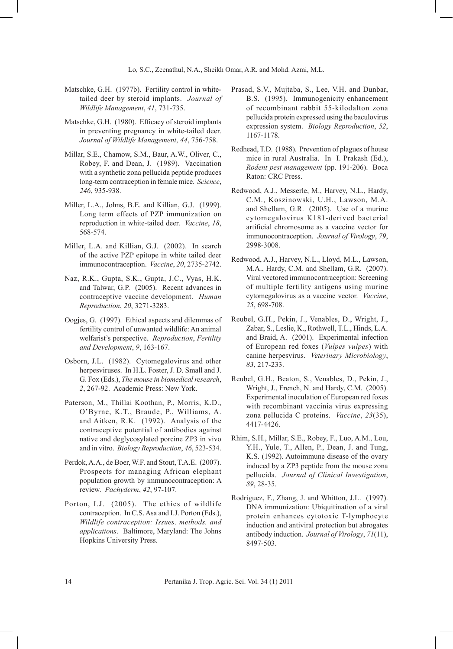- Matschke, G.H. (1977b). Fertility control in whitetailed deer by steroid implants. *Journal of Wildlife Management*, *41*, 731-735.
- Matschke, G.H. (1980). Efficacy of steroid implants in preventing pregnancy in white-tailed deer. *Journal of Wildlife Management*, *44*, 756-758.
- Millar, S.E., Chamow, S.M., Baur, A.W., Oliver, C., Robey, F. and Dean, J. (1989). Vaccination with a synthetic zona pellucida peptide produces long-term contraception in female mice. *Science*, *246*, 935-938.
- Miller, L.A., Johns, B.E. and Killian, G.J. (1999). Long term effects of PZP immunization on reproduction in white-tailed deer. *Vaccine*, *18*, 568-574.
- Miller, L.A. and Killian, G.J. (2002). In search of the active PZP epitope in white tailed deer immunocontraception. *Vaccine*, *20*, 2735-2742.
- Naz, R.K., Gupta, S.K., Gupta, J.C., Vyas, H.K. and Talwar, G.P. (2005). Recent advances in contraceptive vaccine development. *Human Reproduction*, *20*, 3271-3283.
- Oogjes, G. (1997). Ethical aspects and dilemmas of fertility control of unwanted wildlife: An animal welfarist's perspective. *Reproduction*, *Fertility and Development*, *9*, 163-167.
- Osborn, J.L. (1982). Cytomegalovirus and other herpesviruses. In H.L. Foster, J. D. Small and J. G. Fox (Eds.), *The mouse in biomedical research*, *2*, 267-92. Academic Press: New York.
- Paterson, M., Thillai Koothan, P., Morris, K.D., O'Byrne, K.T., Braude, P., Williams, A. and Aitken, R.K. (1992). Analysis of the contraceptive potential of antibodies against native and deglycosylated porcine ZP3 in vivo and in vitro. *Biology Reproduction*, *46*, 523-534.
- Perdok, A.A., de Boer, W.F. and Stout, T.A.E. (2007). Prospects for managing African elephant population growth by immunocontraception: A review. *Pachyderm*, *42*, 97-107.
- Porton, I.J. (2005). The ethics of wildlife contraception. In C.S. Asa and I.J. Porton (Eds.), *Wildlife contraception: Issues, methods, and applications*. Baltimore, Maryland: The Johns Hopkins University Press.
- Prasad, S.V., Mujtaba, S., Lee, V.H. and Dunbar, B.S. (1995). Immunogenicity enhancement of recombinant rabbit 55-kilodalton zona pellucida protein expressed using the baculovirus expression system. *Biology Reproduction*, *52*, 1167-1178.
- Redhead, T.D. (1988). Prevention of plagues of house mice in rural Australia. In I. Prakash (Ed.), *Rodent pest management* (pp. 191-206). Boca Raton: CRC Press.
- Redwood, A.J., Messerle, M., Harvey, N.L., Hardy, C.M., Koszinowski, U.H., Lawson, M.A. and Shellam, G.R. (2005). Use of a murine cytomegalovirus K181-derived bacterial artificial chromosome as a vaccine vector for immunocontraception. *Journal of Virology*, *79*, 2998-3008.
- Redwood, A.J., Harvey, N.L., Lloyd, M.L., Lawson, M.A., Hardy, C.M. and Shellam, G.R. (2007). Viral vectored immunocontraception: Screening of multiple fertility antigens using murine cytomegalovirus as a vaccine vector. *Vaccine*, *25*, 698-708.
- Reubel, G.H., Pekin, J., Venables, D., Wright, J., Zabar, S., Leslie, K., Rothwell, T.L., Hinds, L.A. and Braid, A. (2001). Experimental infection of European red foxes (*Vulpes vulpes*) with canine herpesvirus. *Veterinary Microbiology*, *83*, 217-233.
- Reubel, G.H., Beaton, S., Venables, D., Pekin, J., Wright, J., French, N. and Hardy, C.M. (2005). Experimental inoculation of European red foxes with recombinant vaccinia virus expressing zona pellucida C proteins. *Vaccine*, *23*(35), 4417-4426.
- Rhim, S.H., Millar, S.E., Robey, F., Luo, A.M., Lou, Y.H., Yule, T., Allen, P., Dean, J. and Tung, K.S. (1992). Autoimmune disease of the ovary induced by a ZP3 peptide from the mouse zona pellucida. *Journal of Clinical Investigation*, *89*, 28-35.
- Rodriguez, F., Zhang, J. and Whitton, J.L. (1997). DNA immunization: Ubiquitination of a viral protein enhances cytotoxic T-lymphocyte induction and antiviral protection but abrogates antibody induction. *Journal of Virology*, *71*(11), 8497-503.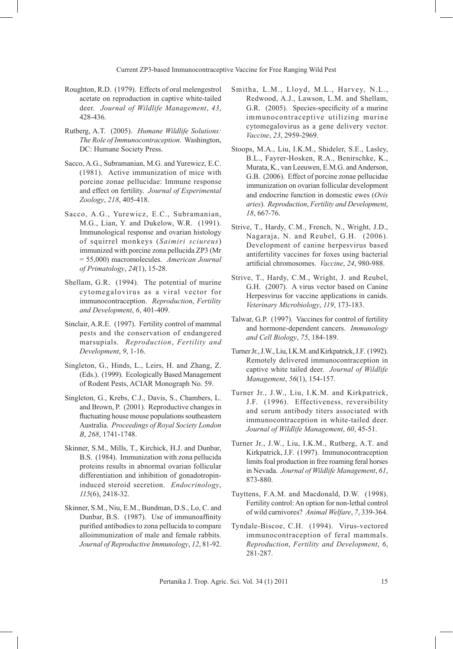- Roughton, R.D. (1979). Effects of oral melengestrol acetate on reproduction in captive white-tailed deer. *Journal of Wildlife Management*, *43*, 428-436.
- Rutberg, A.T. (2005). *Humane Wildlife Solutions: The Role of Immunocontraception.* Washington, DC: Humane Society Press.
- Sacco, A.G., Subramanian, M.G. and Yurewicz, E.C. (1981). Active immunization of mice with porcine zonae pellucidae: Immune response and effect on fertility. *Journal of Experimental Zoology*, *218*, 405-418.
- Sacco, A.G., Yurewicz, E.C., Subramanian, M.G., Lian, Y. and Dukelow, W.R. (1991). Immunological response and ovarian histology of squirrel monkeys (*Saimiri sciureus*) immunized with porcine zona pellucida ZP3 (Mr = 55,000) macromolecules. *American Journal of Primatology*, *24*(1), 15-28.
- Shellam, G.R. (1994). The potential of murine cytomegalovirus as a viral vector for immunocontraception. *Reproduction*, *Fertility and Development*, *6*, 401-409.
- Sinclair, A.R.E. (1997). Fertility control of mammal pests and the conservation of endangered marsupials. *Reproduction*, *Fertility and Development*, *9*, 1-16.
- Singleton, G., Hinds, L., Leirs, H. and Zhang, Z. (Eds.). (1999). Ecologically Based Management of Rodent Pests, ACIAR Monograph No. 59.
- Singleton, G., Krebs, C.J., Davis, S., Chambers, L. and Brown, P. (2001). Reproductive changes in fluctuating house mouse populations southeastern Australia. *Proceedings of Royal Society London B*, *268*, 1741-1748.
- Skinner, S.M., Mills, T., Kirchick, H.J. and Dunbar, B.S. (1984). Immunization with zona pellucida proteins results in abnormal ovarian follicular differentiation and inhibition of gonadotropininduced steroid secretion. *Endocrinology*, *115*(6), 2418-32.
- Skinner, S.M., Niu, E.M., Bundman, D.S., Lo, C. and Dunbar, B.S. (1987). Use of immunoaffinity purified antibodies to zona pellucida to compare alloimmunization of male and female rabbits. *Journal of Reproductive Immunology*, *12*, 81-92.
- Smitha, L.M., Lloyd, M.L., Harvey, N.L., Redwood, A.J., Lawson, L.M. and Shellam, G.R. (2005). Species-specificity of a murine immunocontraceptive utilizing murine cytomegalovirus as a gene delivery vector. *Vaccine*, *23*, 2959-2969.
- Stoops, M.A., Liu, I.K.M., Shideler, S.E., Lasley, B.L., Fayrer-Hosken, R.A., Benirschke, K., Murata, K., van Leeuwen, E.M.G. and Anderson, G.B. (2006). Effect of porcine zonae pellucidae immunization on ovarian follicular development and endocrine function in domestic ewes (*Ovis aries*). *Reproduction*, *Fertility and Development*, *18*, 667-76.
- Strive, T., Hardy, C.M., French, N., Wright, J.D., Nagaraja, N. and Reubel, G.H. (2006). Development of canine herpesvirus based antifertility vaccines for foxes using bacterial artificial chromosomes. *Vaccine*, *24*, 980-988.
- Strive, T., Hardy, C.M., Wright, J. and Reubel, G.H. (2007). A virus vector based on Canine Herpesvirus for vaccine applications in canids. *Veterinary Microbiology*, *119*, 173-183.
- Talwar, G.P. (1997). Vaccines for control of fertility and hormone-dependent cancers. *Immunology and Cell Biology*, *75*, 184-189.
- Turner Jr., J.W., Liu, I.K.M. and Kirkpatrick, J.F. (1992). Remotely delivered immunocontraception in captive white tailed deer. *Journal of Wildlife Management*, *56*(1), 154-157.
- Turner Jr., J.W., Liu, I.K.M. and Kirkpatrick, J.F. (1996). Effectiveness, reversibility and serum antibody titers associated with immunocontraception in white-tailed deer. *Journal of Wildlife Management*, *60*, 45-51.
- Turner Jr., J.W., Liu, I.K.M., Rutberg, A.T. and Kirkpatrick, J.F. (1997). Immunocontraception limits foal production in free roaming feral horses in Nevada. *Journal of Wildlife Management*, *61*, 873-880.
- Tuyttens, F.A.M. and Macdonald, D.W. (1998). Fertility control: An option for non-lethal control of wild carnivores? *Animal Welfare*, *7*, 339-364.
- Tyndale-Biscoe, C.H. (1994). Virus-vectored immunocontraception of feral mammals. *Reproduction*, *Fertility and Development*, *6*, 281-287.

Pertanika J. Trop. Agric. Sci. Vol. 34 (1) 2011 15